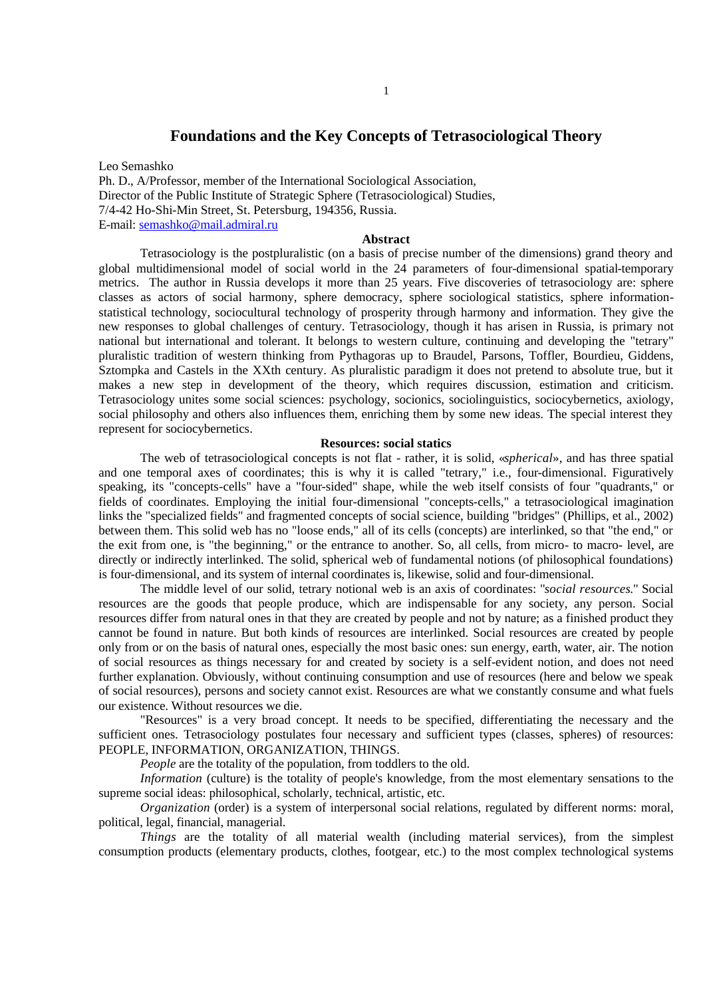# **Foundations and the Key Concepts of Tetrasociological Theory**

Leo Semashko Ph. D., A/Professor, member of the International Sociological Association, Director of the Public Institute of Strategic Sphere (Tetrasociological) Studies, 7/4-42 Ho-Shi-Min Street, St. Petersburg, 194356, Russia. E-mail: semashko@mail.admiral.ru

#### **Abstract**

Tetrasociology is the postpluralistic (on a basis of precise number of the dimensions) grand theory and global multidimensional model of social world in the 24 parameters of four-dimensional spatial-temporary metrics. The author in Russia develops it more than 25 years. Five discoveries of tetrasociology are: sphere classes as actors of social harmony, sphere democracy, sphere sociological statistics, sphere informationstatistical technology, sociocultural technology of prosperity through harmony and information. They give the new responses to global challenges of century. Tetrasociology, though it has arisen in Russia, is primary not national but international and tolerant. It belongs to western culture, continuing and developing the "tetrary" pluralistic tradition of western thinking from Pythagoras up to Braudel, Parsons, Toffler, Bourdieu, Giddens, Sztompka and Castels in the XXth century. As pluralistic paradigm it does not pretend to absolute true, but it makes a new step in development of the theory, which requires discussion, estimation and criticism. Tetrasociology unites some social sciences: psychology, socionics, sociolinguistics, sociocybernetics, axiology, social philosophy and others also influences them, enriching them by some new ideas. The special interest they represent for sociocybernetics.

#### **Resources: social statics**

The web of tetrasociological concepts is not flat - rather, it is solid, «*spherical*», and has three spatial and one temporal axes of coordinates; this is why it is called "tetrary," i.e., four-dimensional. Figuratively speaking, its "concepts-cells" have a "four-sided" shape, while the web itself consists of four "quadrants," or fields of coordinates. Employing the initial four-dimensional "concepts-cells," a tetrasociological imagination links the "specialized fields" and fragmented concepts of social science, building "bridges" (Phillips, et al., 2002) between them. This solid web has no "loose ends," all of its cells (concepts) are interlinked, so that "the end," or the exit from one, is "the beginning," or the entrance to another. So, all cells, from micro- to macro- level, are directly or indirectly interlinked. The solid, spherical web of fundamental notions (of philosophical foundations) is four-dimensional, and its system of internal coordinates is, likewise, solid and four-dimensional.

The middle level of our solid, tetrary notional web is an axis of coordinates: "*social resources*." Social resources are the goods that people produce, which are indispensable for any society, any person. Social resources differ from natural ones in that they are created by people and not by nature; as a finished product they cannot be found in nature. But both kinds of resources are interlinked. Social resources are created by people only from or on the basis of natural ones, especially the most basic ones: sun energy, earth, water, air. The notion of social resources as things necessary for and created by society is a self-evident notion, and does not need further explanation. Obviously, without continuing consumption and use of resources (here and below we speak of social resources), persons and society cannot exist. Resources are what we constantly consume and what fuels our existence. Without resources we die.

"Resources" is a very broad concept. It needs to be specified, differentiating the necessary and the sufficient ones. Tetrasociology postulates four necessary and sufficient types (classes, spheres) of resources: PEOPLE, INFORMATION, ORGANIZATION, THINGS.

*People* are the totality of the population, from toddlers to the old.

*Information* (culture) is the totality of people's knowledge, from the most elementary sensations to the supreme social ideas: philosophical, scholarly, technical, artistic, etc.

*Organization* (order) is a system of interpersonal social relations, regulated by different norms: moral, political, legal, financial, managerial.

*Things* are the totality of all material wealth (including material services), from the simplest consumption products (elementary products, clothes, footgear, etc.) to the most complex technological systems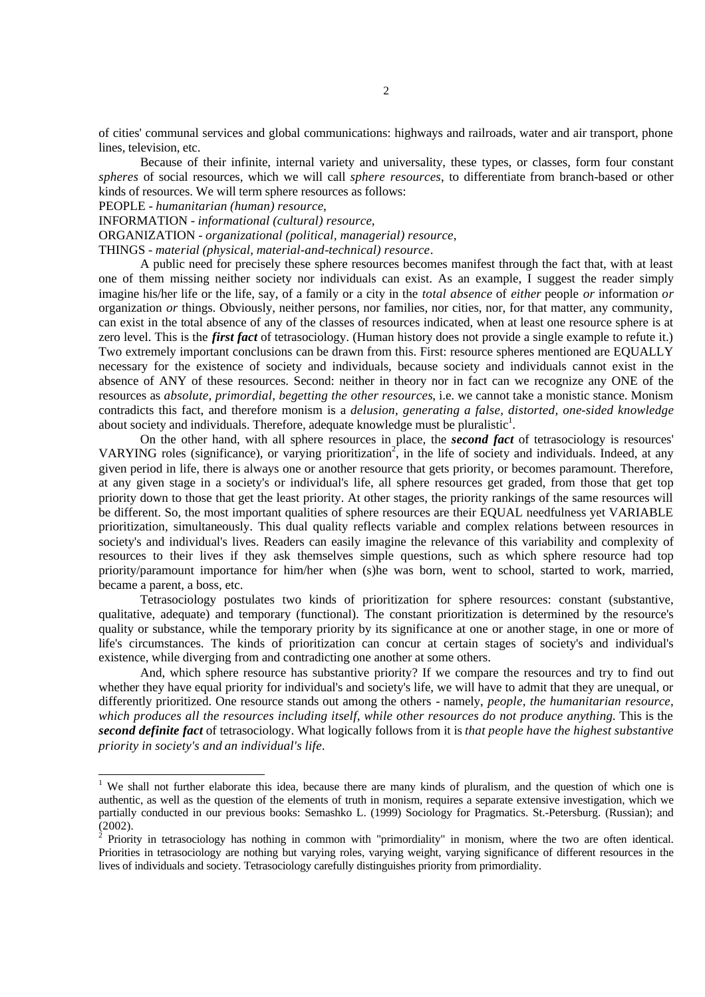of cities' communal services and global communications: highways and railroads, water and air transport, phone lines, television, etc.

Because of their infinite, internal variety and universality, these types, or classes, form four constant *spheres* of social resources, which we will call *sphere resources*, to differentiate from branch-based or other kinds of resources. We will term sphere resources as follows:

PEOPLE - *humanitarian (human) resource*,

 $\overline{a}$ 

INFORMATION - *informational (cultural) resource*,

ORGANIZATION - *organizational (political, managerial) resource*,

THINGS - *material (physical, material-and-technical) resource*.

A public need for precisely these sphere resources becomes manifest through the fact that, with at least one of them missing neither society nor individuals can exist. As an example, I suggest the reader simply imagine his/her life or the life, say, of a family or a city in the *total absence* of *either* people *or* information *or* organization *or* things. Obviously, neither persons, nor families, nor cities, nor, for that matter, any community, can exist in the total absence of any of the classes of resources indicated, when at least one resource sphere is at zero level. This is the *first fact* of tetrasociology. (Human history does not provide a single example to refute it.) Two extremely important conclusions can be drawn from this. First: resource spheres mentioned are EQUALLY necessary for the existence of society and individuals, because society and individuals cannot exist in the absence of ANY of these resources. Second: neither in theory nor in fact can we recognize any ONE of the resources as *absolute, primordial, begetting the other resources*, i.e. we cannot take a monistic stance. Monism contradicts this fact, and therefore monism is a *delusion, generating a false, distorted, one-sided knowledge* about society and individuals. Therefore, adequate knowledge must be pluralistic<sup>1</sup>.

On the other hand, with all sphere resources in place, the *second fact* of tetrasociology is resources' VARYING roles (significance), or varying prioritization<sup>2</sup>, in the life of society and individuals. Indeed, at any given period in life, there is always one or another resource that gets priority, or becomes paramount. Therefore, at any given stage in a society's or individual's life, all sphere resources get graded, from those that get top priority down to those that get the least priority. At other stages, the priority rankings of the same resources will be different. So, the most important qualities of sphere resources are their EQUAL needfulness yet VARIABLE prioritization, simultaneously. This dual quality reflects variable and complex relations between resources in society's and individual's lives. Readers can easily imagine the relevance of this variability and complexity of resources to their lives if they ask themselves simple questions, such as which sphere resource had top priority/paramount importance for him/her when (s)he was born, went to school, started to work, married, became a parent, a boss, etc.

Tetrasociology postulates two kinds of prioritization for sphere resources: constant (substantive, qualitative, adequate) and temporary (functional). The constant prioritization is determined by the resource's quality or substance, while the temporary priority by its significance at one or another stage, in one or more of life's circumstances. The kinds of prioritization can concur at certain stages of society's and individual's existence, while diverging from and contradicting one another at some others.

And, which sphere resource has substantive priority? If we compare the resources and try to find out whether they have equal priority for individual's and society's life, we will have to admit that they are unequal, or differently prioritized. One resource stands out among the others - namely, *people, the humanitarian resource, which produces all the resources including itself, while other resources do not produce anything*. This is the *second definite fact* of tetrasociology. What logically follows from it is *that people have the highest substantive priority in society's and an individual's life*.

We shall not further elaborate this idea, because there are many kinds of pluralism, and the question of which one is authentic, as well as the question of the elements of truth in monism, requires a separate extensive investigation, which we partially conducted in our previous books: Semashko L. (1999) Sociology for Pragmatics. St.-Petersburg. (Russian); and (2002).

<sup>2</sup> Priority in tetrasociology has nothing in common with "primordiality" in monism, where the two are often identical. Priorities in tetrasociology are nothing but varying roles, varying weight, varying significance of different resources in the lives of individuals and society. Tetrasociology carefully distinguishes priority from primordiality.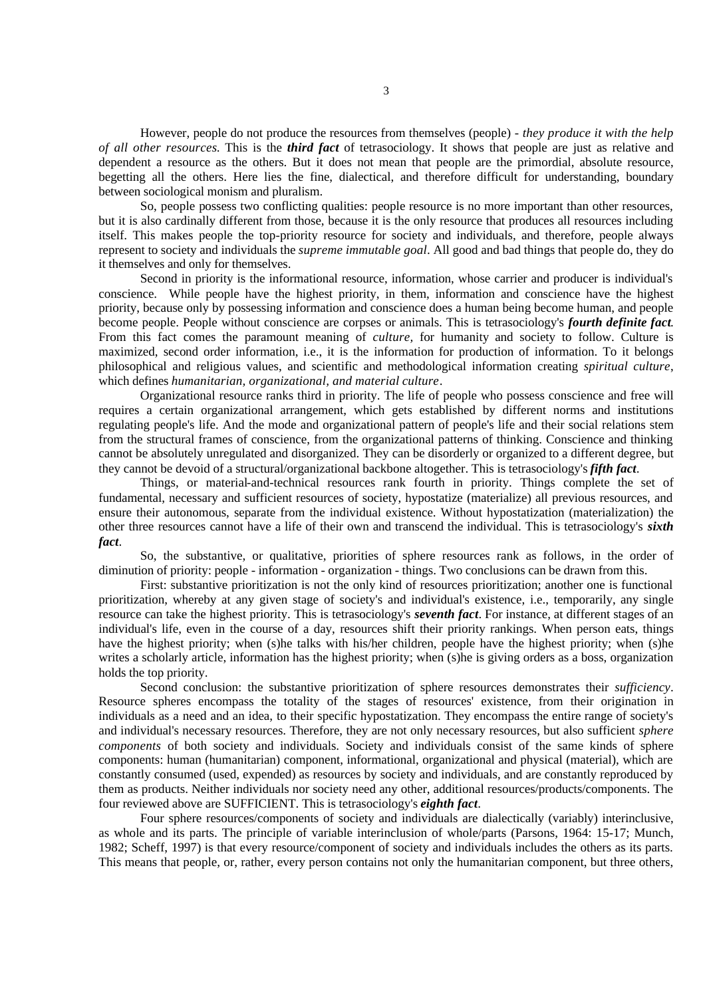However, people do not produce the resources from themselves (people) - *they produce it with the help of all other resources*. This is the *third fact* of tetrasociology. It shows that people are just as relative and dependent a resource as the others. But it does not mean that people are the primordial, absolute resource, begetting all the others. Here lies the fine, dialectical, and therefore difficult for understanding, boundary between sociological monism and pluralism.

So, people possess two conflicting qualities: people resource is no more important than other resources, but it is also cardinally different from those, because it is the only resource that produces all resources including itself. This makes people the top-priority resource for society and individuals, and therefore, people always represent to society and individuals the *supreme immutable goal*. All good and bad things that people do, they do it themselves and only for themselves.

Second in priority is the informational resource, information, whose carrier and producer is individual's conscience. While people have the highest priority, in them, information and conscience have the highest priority, because only by possessing information and conscience does a human being become human, and people become people. People without conscience are corpses or animals. This is tetrasociology's *fourth definite fact*. From this fact comes the paramount meaning of *culture,* for humanity and society to follow. Culture is maximized, second order information, i.e., it is the information for production of information. To it belongs philosophical and religious values, and scientific and methodological information creating *spiritual culture*, which defines *humanitarian, organizational, and material culture*.

Organizational resource ranks third in priority. The life of people who possess conscience and free will requires a certain organizational arrangement, which gets established by different norms and institutions regulating people's life. And the mode and organizational pattern of people's life and their social relations stem from the structural frames of conscience, from the organizational patterns of thinking. Conscience and thinking cannot be absolutely unregulated and disorganized. They can be disorderly or organized to a different degree, but they cannot be devoid of a structural/organizational backbone altogether. This is tetrasociology's *fifth fact*.

Things, or material-and-technical resources rank fourth in priority. Things complete the set of fundamental, necessary and sufficient resources of society, hypostatize (materialize) all previous resources, and ensure their autonomous, separate from the individual existence. Without hypostatization (materialization) the other three resources cannot have a life of their own and transcend the individual. This is tetrasociology's *sixth fact*.

So, the substantive, or qualitative, priorities of sphere resources rank as follows, in the order of diminution of priority: people - information - organization - things. Two conclusions can be drawn from this.

First: substantive prioritization is not the only kind of resources prioritization; another one is functional prioritization, whereby at any given stage of society's and individual's existence, i.e., temporarily, any single resource can take the highest priority. This is tetrasociology's *seventh fact*. For instance, at different stages of an individual's life, even in the course of a day, resources shift their priority rankings. When person eats, things have the highest priority; when (s)he talks with his/her children, people have the highest priority; when (s)he writes a scholarly article, information has the highest priority; when (s)he is giving orders as a boss, organization holds the top priority.

Second conclusion: the substantive prioritization of sphere resources demonstrates their *sufficiency*. Resource spheres encompass the totality of the stages of resources' existence, from their origination in individuals as a need and an idea, to their specific hypostatization. They encompass the entire range of society's and individual's necessary resources. Therefore, they are not only necessary resources, but also sufficient *sphere components* of both society and individuals. Society and individuals consist of the same kinds of sphere components: human (humanitarian) component, informational, organizational and physical (material), which are constantly consumed (used, expended) as resources by society and individuals, and are constantly reproduced by them as products. Neither individuals nor society need any other, additional resources/products/components. The four reviewed above are SUFFICIENT. This is tetrasociology's *eighth fact*.

Four sphere resources/components of society and individuals are dialectically (variably) interinclusive, as whole and its parts. The principle of variable interinclusion of whole/parts (Parsons, 1964: 15-17; Munch, 1982; Scheff, 1997) is that every resource/component of society and individuals includes the others as its parts. This means that people, or, rather, every person contains not only the humanitarian component, but three others,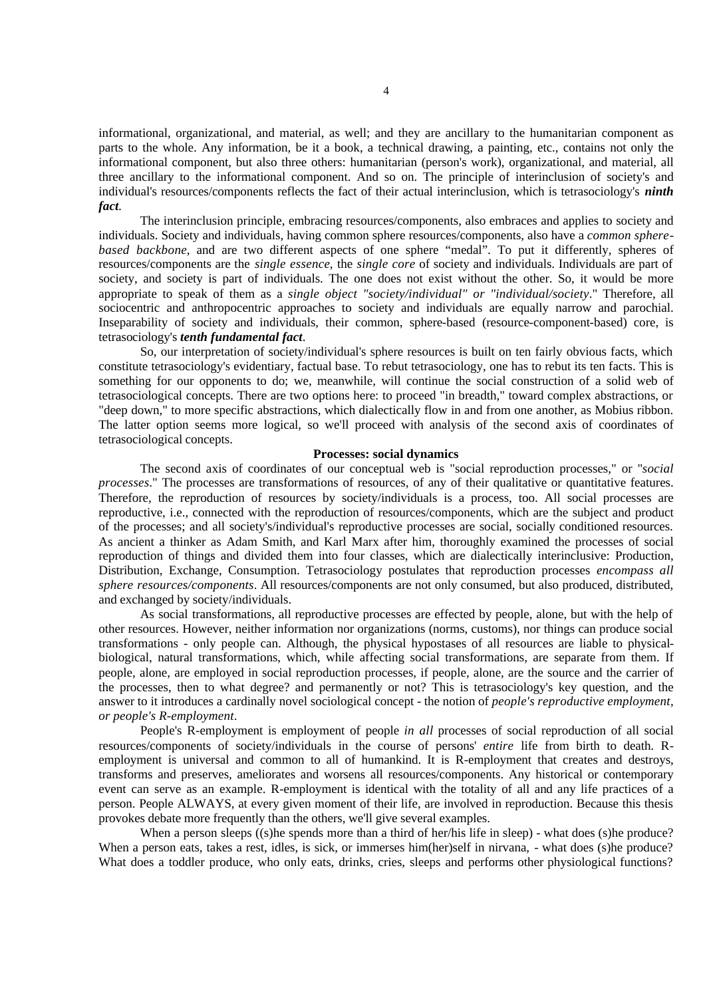informational, organizational, and material, as well; and they are ancillary to the humanitarian component as parts to the whole. Any information, be it a book, a technical drawing, a painting, etc., contains not only the informational component, but also three others: humanitarian (person's work), organizational, and material, all three ancillary to the informational component. And so on. The principle of interinclusion of society's and individual's resources/components reflects the fact of their actual interinclusion, which is tetrasociology's *ninth fact.*

The interinclusion principle, embracing resources/components, also embraces and applies to society and individuals. Society and individuals, having common sphere resources/components, also have a *common spherebased backbone*, and are two different aspects of one sphere "medal". To put it differently, spheres of resources/components are the *single essence*, the *single core* of society and individuals. Individuals are part of society, and society is part of individuals. The one does not exist without the other. So, it would be more appropriate to speak of them as a *single object "society/individual" or "individual/society*." Therefore, all sociocentric and anthropocentric approaches to society and individuals are equally narrow and parochial. Inseparability of society and individuals, their common, sphere-based (resource-component-based) core, is tetrasociology's *tenth fundamental fact*.

So, our interpretation of society/individual's sphere resources is built on ten fairly obvious facts, which constitute tetrasociology's evidentiary, factual base. To rebut tetrasociology, one has to rebut its ten facts. This is something for our opponents to do; we, meanwhile, will continue the social construction of a solid web of tetrasociological concepts. There are two options here: to proceed "in breadth," toward complex abstractions, or "deep down," to more specific abstractions, which dialectically flow in and from one another, as Mobius ribbon. The latter option seems more logical, so we'll proceed with analysis of the second axis of coordinates of tetrasociological concepts.

#### **Processes: social dynamics**

The second axis of coordinates of our conceptual web is "social reproduction processes," or "*social processes*." The processes are transformations of resources, of any of their qualitative or quantitative features. Therefore, the reproduction of resources by society/individuals is a process, too. All social processes are reproductive, i.e., connected with the reproduction of resources/components, which are the subject and product of the processes; and all society's/individual's reproductive processes are social, socially conditioned resources. As ancient a thinker as Adam Smith, and Karl Marx after him, thoroughly examined the processes of social reproduction of things and divided them into four classes, which are dialectically interinclusive: Production, Distribution, Exchange, Consumption. Tetrasociology postulates that reproduction processes *encompass all sphere resources/components*. All resources/components are not only consumed, but also produced, distributed, and exchanged by society/individuals.

As social transformations, all reproductive processes are effected by people, alone, but with the help of other resources. However, neither information nor organizations (norms, customs), nor things can produce social transformations - only people can. Although, the physical hypostases of all resources are liable to physicalbiological, natural transformations, which, while affecting social transformations, are separate from them. If people, alone, are employed in social reproduction processes, if people, alone, are the source and the carrier of the processes, then to what degree? and permanently or not? This is tetrasociology's key question, and the answer to it introduces a cardinally novel sociological concept - the notion of *people's reproductive employment, or people's R-employment*.

People's R-employment is employment of people *in all* processes of social reproduction of all social resources/components of society/individuals in the course of persons' *entire* life from birth to death. Remployment is universal and common to all of humankind. It is R-employment that creates and destroys, transforms and preserves, ameliorates and worsens all resources/components. Any historical or contemporary event can serve as an example. R-employment is identical with the totality of all and any life practices of a person. People ALWAYS, at every given moment of their life, are involved in reproduction. Because this thesis provokes debate more frequently than the others, we'll give several examples.

When a person sleeps ((s)he spends more than a third of her/his life in sleep) - what does (s)he produce? When a person eats, takes a rest, idles, is sick, or immerses him(her)self in nirvana, - what does (s)he produce? What does a toddler produce, who only eats, drinks, cries, sleeps and performs other physiological functions?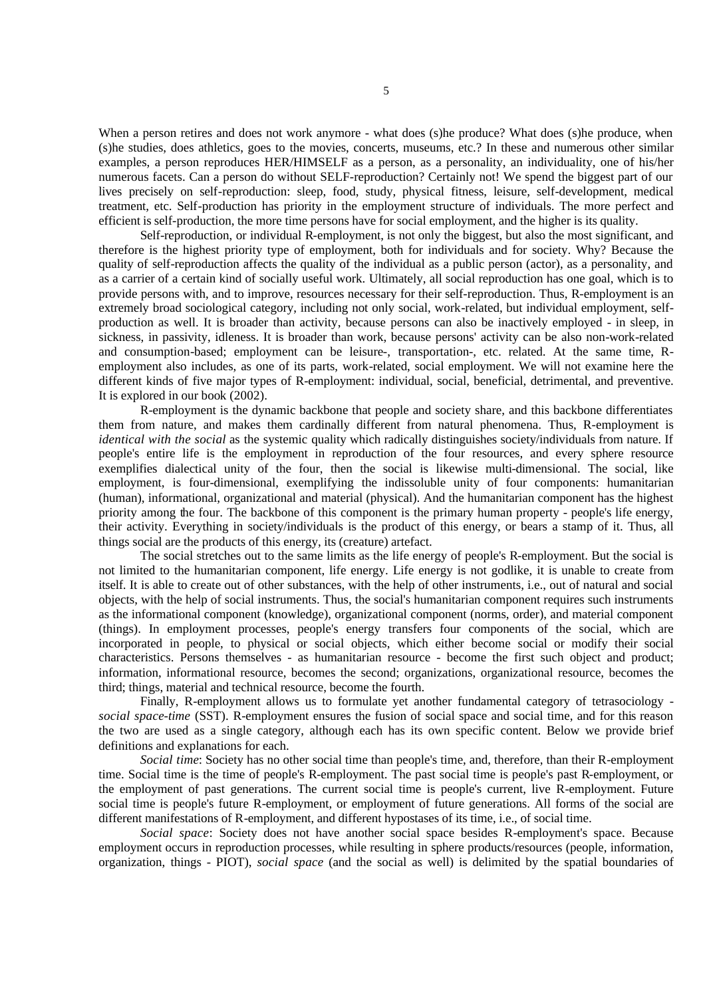When a person retires and does not work anymore - what does (s)he produce? What does (s)he produce, when (s)he studies, does athletics, goes to the movies, concerts, museums, etc.? In these and numerous other similar examples, a person reproduces HER/HIMSELF as a person, as a personality, an individuality, one of his/her numerous facets. Can a person do without SELF-reproduction? Certainly not! We spend the biggest part of our lives precisely on self-reproduction: sleep, food, study, physical fitness, leisure, self-development, medical treatment, etc. Self-production has priority in the employment structure of individuals. The more perfect and efficient is self-production, the more time persons have for social employment, and the higher is its quality.

Self-reproduction, or individual R-employment, is not only the biggest, but also the most significant, and therefore is the highest priority type of employment, both for individuals and for society. Why? Because the quality of self-reproduction affects the quality of the individual as a public person (actor), as a personality, and as a carrier of a certain kind of socially useful work. Ultimately, all social reproduction has one goal, which is to provide persons with, and to improve, resources necessary for their self-reproduction. Thus, R-employment is an extremely broad sociological category, including not only social, work-related, but individual employment, selfproduction as well. It is broader than activity, because persons can also be inactively employed - in sleep, in sickness, in passivity, idleness. It is broader than work, because persons' activity can be also non-work-related and consumption-based; employment can be leisure-, transportation-, etc. related. At the same time, Remployment also includes, as one of its parts, work-related, social employment. We will not examine here the different kinds of five major types of R-employment: individual, social, beneficial, detrimental, and preventive. It is explored in our book (2002).

R-employment is the dynamic backbone that people and society share, and this backbone differentiates them from nature, and makes them cardinally different from natural phenomena. Thus, R-employment is *identical with the social* as the systemic quality which radically distinguishes society/individuals from nature. If people's entire life is the employment in reproduction of the four resources, and every sphere resource exemplifies dialectical unity of the four, then the social is likewise multi-dimensional. The social, like employment, is four-dimensional, exemplifying the indissoluble unity of four components: humanitarian (human), informational, organizational and material (physical). And the humanitarian component has the highest priority among the four. The backbone of this component is the primary human property - people's life energy, their activity. Everything in society/individuals is the product of this energy, or bears a stamp of it. Thus, all things social are the products of this energy, its (creature) artefact.

The social stretches out to the same limits as the life energy of people's R-employment. But the social is not limited to the humanitarian component, life energy. Life energy is not godlike, it is unable to create from itself. It is able to create out of other substances, with the help of other instruments, i.e., out of natural and social objects, with the help of social instruments. Thus, the social's humanitarian component requires such instruments as the informational component (knowledge), organizational component (norms, order), and material component (things). In employment processes, people's energy transfers four components of the social, which are incorporated in people, to physical or social objects, which either become social or modify their social characteristics. Persons themselves - as humanitarian resource - become the first such object and product; information, informational resource, becomes the second; organizations, organizational resource, becomes the third; things, material and technical resource, become the fourth.

Finally, R-employment allows us to formulate yet another fundamental category of tetrasociology *social space-time* (SST). R-employment ensures the fusion of social space and social time, and for this reason the two are used as a single category, although each has its own specific content. Below we provide brief definitions and explanations for each.

*Social time*: Society has no other social time than people's time, and, therefore, than their R-employment time. Social time is the time of people's R-employment. The past social time is people's past R-employment, or the employment of past generations. The current social time is people's current, live R-employment. Future social time is people's future R-employment, or employment of future generations. All forms of the social are different manifestations of R-employment, and different hypostases of its time, i.e., of social time.

*Social space*: Society does not have another social space besides R-employment's space. Because employment occurs in reproduction processes, while resulting in sphere products/resources (people, information, organization, things - PIOT), *social space* (and the social as well) is delimited by the spatial boundaries of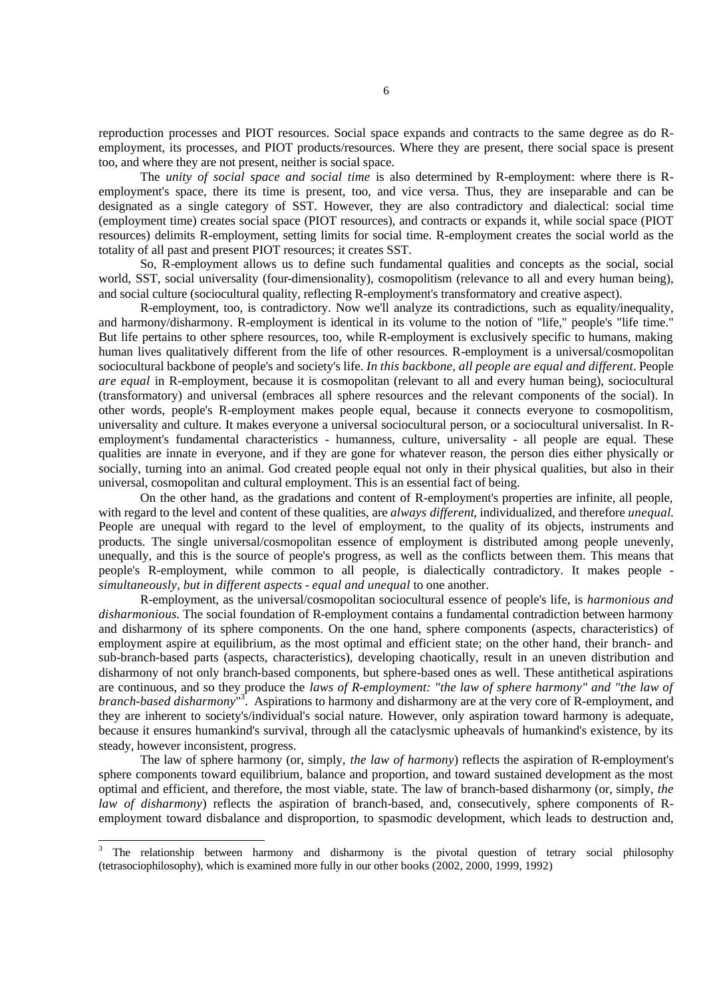reproduction processes and PIOT resources. Social space expands and contracts to the same degree as do Remployment, its processes, and PIOT products/resources. Where they are present, there social space is present too, and where they are not present, neither is social space.

The *unity of social space and social time* is also determined by R-employment: where there is Remployment's space, there its time is present, too, and vice versa. Thus, they are inseparable and can be designated as a single category of SST. However, they are also contradictory and dialectical: social time (employment time) creates social space (PIOT resources), and contracts or expands it, while social space (PIOT resources) delimits R-employment, setting limits for social time. R-employment creates the social world as the totality of all past and present PIOT resources; it creates SST.

So, R-employment allows us to define such fundamental qualities and concepts as the social, social world, SST, social universality (four-dimensionality), cosmopolitism (relevance to all and every human being), and social culture (sociocultural quality, reflecting R-employment's transformatory and creative aspect).

R-employment, too, is contradictory. Now we'll analyze its contradictions, such as equality/inequality, and harmony/disharmony. R-employment is identical in its volume to the notion of "life," people's "life time." But life pertains to other sphere resources, too, while R-employment is exclusively specific to humans, making human lives qualitatively different from the life of other resources. R-employment is a universal/cosmopolitan sociocultural backbone of people's and society's life. *In this backbone, all people are equal and different*. People *are equal* in R-employment, because it is cosmopolitan (relevant to all and every human being), sociocultural (transformatory) and universal (embraces all sphere resources and the relevant components of the social). In other words, people's R-employment makes people equal, because it connects everyone to cosmopolitism, universality and culture. It makes everyone a universal sociocultural person, or a sociocultural universalist. In Remployment's fundamental characteristics - humanness, culture, universality - all people are equal. These qualities are innate in everyone, and if they are gone for whatever reason, the person dies either physically or socially, turning into an animal. God created people equal not only in their physical qualities, but also in their universal, cosmopolitan and cultural employment. This is an essential fact of being.

On the other hand, as the gradations and content of R-employment's properties are infinite, all people, with regard to the level and content of these qualities, are *always different*, individualized, and therefore *unequal*. People are unequal with regard to the level of employment, to the quality of its objects, instruments and products. The single universal/cosmopolitan essence of employment is distributed among people unevenly, unequally, and this is the source of people's progress, as well as the conflicts between them. This means that people's R-employment, while common to all people, is dialectically contradictory. It makes people *simultaneously, but in different aspects - equal and unequal* to one another.

R-employment, as the universal/cosmopolitan sociocultural essence of people's life, is *harmonious and disharmonious*. The social foundation of R-employment contains a fundamental contradiction between harmony and disharmony of its sphere components. On the one hand, sphere components (aspects, characteristics) of employment aspire at equilibrium, as the most optimal and efficient state; on the other hand, their branch- and sub-branch-based parts (aspects, characteristics), developing chaotically, result in an uneven distribution and disharmony of not only branch-based components, but sphere-based ones as well. These antithetical aspirations are continuous, and so they produce the *laws of R-employment: "the law of sphere harmony" and "the law of* branch-based disharmony<sup>"3</sup>. Aspirations to harmony and disharmony are at the very core of R-employment, and they are inherent to society's/individual's social nature. However, only aspiration toward harmony is adequate, because it ensures humankind's survival, through all the cataclysmic upheavals of humankind's existence, by its steady, however inconsistent, progress.

The law of sphere harmony (or, simply, *the law of harmony*) reflects the aspiration of R-employment's sphere components toward equilibrium, balance and proportion, and toward sustained development as the most optimal and efficient, and therefore, the most viable, state. The law of branch-based disharmony (or, simply, *the law of disharmony*) reflects the aspiration of branch-based, and, consecutively, sphere components of Remployment toward disbalance and disproportion, to spasmodic development, which leads to destruction and,

<sup>3</sup> The relationship between harmony and disharmony is the pivotal question of tetrary social philosophy (tetrasociophilosophy), which is examined more fully in our other books (2002, 2000, 1999, 1992)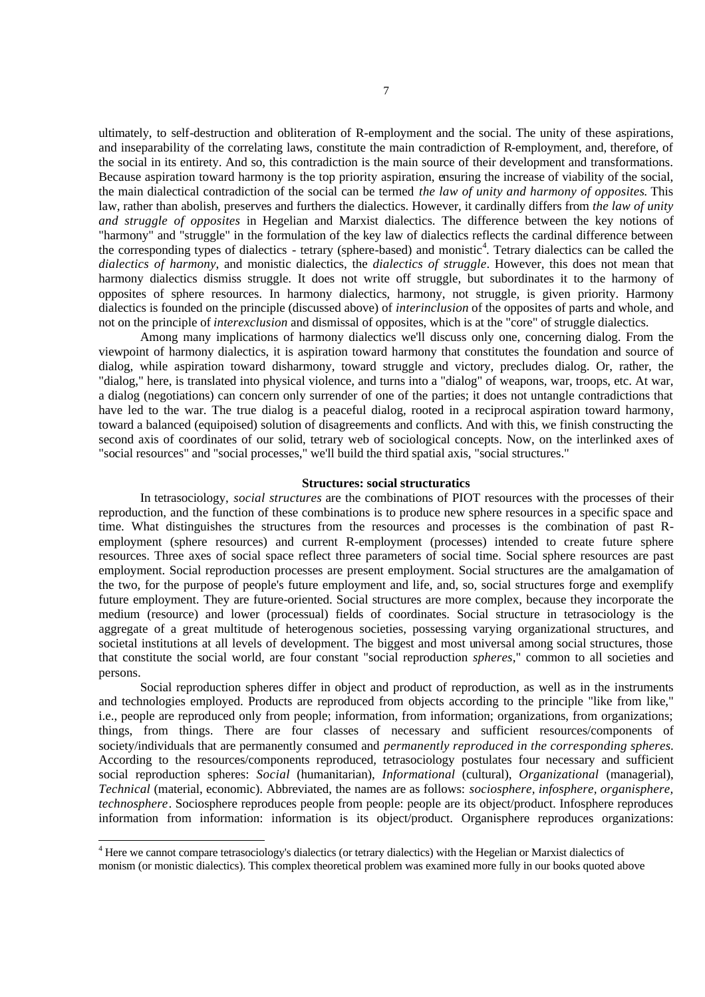ultimately, to self-destruction and obliteration of R-employment and the social. The unity of these aspirations, and inseparability of the correlating laws, constitute the main contradiction of R-employment, and, therefore, of the social in its entirety. And so, this contradiction is the main source of their development and transformations. Because aspiration toward harmony is the top priority aspiration, ensuring the increase of viability of the social, the main dialectical contradiction of the social can be termed *the law of unity and harmony of opposites*. This law, rather than abolish, preserves and furthers the dialectics. However, it cardinally differs from *the law of unity and struggle of opposites* in Hegelian and Marxist dialectics. The difference between the key notions of "harmony" and "struggle" in the formulation of the key law of dialectics reflects the cardinal difference between the corresponding types of dialectics - tetrary (sphere-based) and monistic<sup>4</sup>. Tetrary dialectics can be called the *dialectics of harmony*, and monistic dialectics, the *dialectics of struggle*. However, this does not mean that harmony dialectics dismiss struggle. It does not write off struggle, but subordinates it to the harmony of opposites of sphere resources. In harmony dialectics, harmony, not struggle, is given priority. Harmony dialectics is founded on the principle (discussed above) of *interinclusion* of the opposites of parts and whole, and not on the principle of *interexclusion* and dismissal of opposites, which is at the "core" of struggle dialectics.

Among many implications of harmony dialectics we'll discuss only one, concerning dialog. From the viewpoint of harmony dialectics, it is aspiration toward harmony that constitutes the foundation and source of dialog, while aspiration toward disharmony, toward struggle and victory, precludes dialog. Or, rather, the "dialog," here, is translated into physical violence, and turns into a "dialog" of weapons, war, troops, etc. At war, a dialog (negotiations) can concern only surrender of one of the parties; it does not untangle contradictions that have led to the war. The true dialog is a peaceful dialog, rooted in a reciprocal aspiration toward harmony, toward a balanced (equipoised) solution of disagreements and conflicts. And with this, we finish constructing the second axis of coordinates of our solid, tetrary web of sociological concepts. Now, on the interlinked axes of "social resources" and "social processes," we'll build the third spatial axis, "social structures."

#### **Structures: social structuratics**

In tetrasociology, *social structures* are the combinations of PIOT resources with the processes of their reproduction, and the function of these combinations is to produce new sphere resources in a specific space and time. What distinguishes the structures from the resources and processes is the combination of past Remployment (sphere resources) and current R-employment (processes) intended to create future sphere resources. Three axes of social space reflect three parameters of social time. Social sphere resources are past employment. Social reproduction processes are present employment. Social structures are the amalgamation of the two, for the purpose of people's future employment and life, and, so, social structures forge and exemplify future employment. They are future-oriented. Social structures are more complex, because they incorporate the medium (resource) and lower (processual) fields of coordinates. Social structure in tetrasociology is the aggregate of a great multitude of heterogenous societies, possessing varying organizational structures, and societal institutions at all levels of development. The biggest and most universal among social structures, those that constitute the social world, are four constant "social reproduction *spheres*," common to all societies and persons.

Social reproduction spheres differ in object and product of reproduction, as well as in the instruments and technologies employed. Products are reproduced from objects according to the principle "like from like," i.e., people are reproduced only from people; information, from information; organizations, from organizations; things, from things. There are four classes of necessary and sufficient resources/components of society/individuals that are permanently consumed and *permanently reproduced in the corresponding spheres*. According to the resources/components reproduced, tetrasociology postulates four necessary and sufficient social reproduction spheres: *Social* (humanitarian), *Informational* (cultural), *Organizational* (managerial), *Technical* (material, economic). Abbreviated, the names are as follows: *sociosphere, infosphere, organisphere, technosphere*. Sociosphere reproduces people from people: people are its object/product. Infosphere reproduces information from information: information is its object/product. Organisphere reproduces organizations:

<sup>&</sup>lt;sup>4</sup> Here we cannot compare tetrasociology's dialectics (or tetrary dialectics) with the Hegelian or Marxist dialectics of monism (or monistic dialectics). This complex theoretical problem was examined more fully in our books quoted above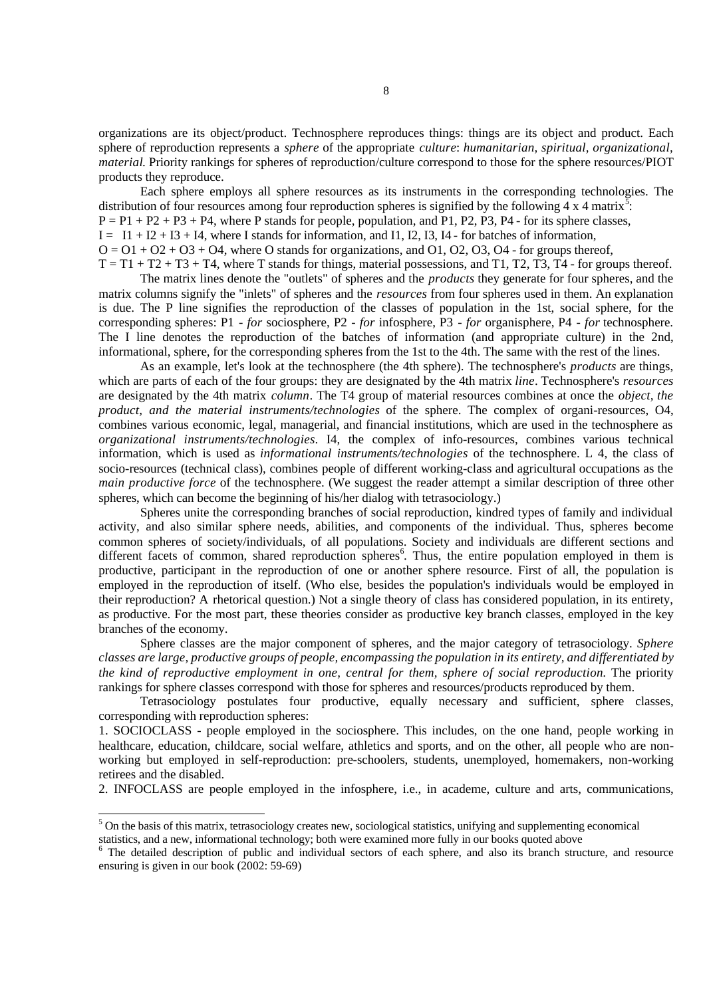organizations are its object/product. Technosphere reproduces things: things are its object and product. Each sphere of reproduction represents a *sphere* of the appropriate *culture*: *humanitarian, spiritual, organizational, material*. Priority rankings for spheres of reproduction/culture correspond to those for the sphere resources/PIOT products they reproduce.

Each sphere employs all sphere resources as its instruments in the corresponding technologies. The distribution of four resources among four reproduction spheres is signified by the following 4 x 4 matrix<sup>5</sup>.  $P = P1 + P2 + P3 + P4$ , where P stands for people, population, and P1, P2, P3, P4 - for its sphere classes,  $I = I1 + I2 + I3 + I4$ , where I stands for information, and I1, I2, I3, I4 - for batches of information,  $Q = 01 + 02 + 03 + 04$ , where O stands for organizations, and  $Q = 03$ ,  $Q = 03$ ,  $Q = 04$ .  $T = T1 + T2 + T3 + T4$ , where T stands for things, material possessions, and T1, T2, T3, T4 - for groups thereof.

The matrix lines denote the "outlets" of spheres and the *products* they generate for four spheres, and the matrix columns signify the "inlets" of spheres and the *resources* from four spheres used in them. An explanation is due. The P line signifies the reproduction of the classes of population in the 1st, social sphere, for the corresponding spheres: P1 - *for* sociosphere, P2 - *for* infosphere, P3 - *for* organisphere, P4 - *for* technosphere. The I line denotes the reproduction of the batches of information (and appropriate culture) in the 2nd, informational, sphere, for the corresponding spheres from the 1st to the 4th. The same with the rest of the lines.

As an example, let's look at the technosphere (the 4th sphere). The technosphere's *products* are things, which are parts of each of the four groups: they are designated by the 4th matrix *line*. Technosphere's *resources*  are designated by the 4th matrix *column*. The T4 group of material resources combines at once the *object, the product, and the material instruments/technologies* of the sphere. The complex of organi-resources, O4, combines various economic, legal, managerial, and financial institutions, which are used in the technosphere as *organizational instruments/technologies*. I4, the complex of info-resources, combines various technical information, which is used as *informational instruments/technologies* of the technosphere. L 4, the class of socio-resources (technical class), combines people of different working-class and agricultural occupations as the *main productive force* of the technosphere. (We suggest the reader attempt a similar description of three other spheres, which can become the beginning of his/her dialog with tetrasociology.)

Spheres unite the corresponding branches of social reproduction, kindred types of family and individual activity, and also similar sphere needs, abilities, and components of the individual. Thus, spheres become common spheres of society/individuals, of all populations. Society and individuals are different sections and different facets of common, shared reproduction spheres<sup>6</sup>. Thus, the entire population employed in them is productive, participant in the reproduction of one or another sphere resource. First of all, the population is employed in the reproduction of itself. (Who else, besides the population's individuals would be employed in their reproduction? A rhetorical question.) Not a single theory of class has considered population, in its entirety, as productive. For the most part, these theories consider as productive key branch classes, employed in the key branches of the economy.

Sphere classes are the major component of spheres, and the major category of tetrasociology. *Sphere classes are large, productive groups of people, encompassing the population in its entirety, and differentiated by the kind of reproductive employment in one, central for them, sphere of social reproduction.* The priority rankings for sphere classes correspond with those for spheres and resources/products reproduced by them.

Tetrasociology postulates four productive, equally necessary and sufficient, sphere classes, corresponding with reproduction spheres:

1. SOCIOCLASS - people employed in the sociosphere. This includes, on the one hand, people working in healthcare, education, childcare, social welfare, athletics and sports, and on the other, all people who are nonworking but employed in self-reproduction: pre-schoolers, students, unemployed, homemakers, non-working retirees and the disabled.

2. INFOCLASS are people employed in the infosphere, i.e., in academe, culture and arts, communications,

l

 $<sup>5</sup>$  On the basis of this matrix, tetrasociology creates new, sociological statistics, unifying and supplementing economical</sup> statistics, and a new, informational technology; both were examined more fully in our books quoted above

<sup>6</sup> The detailed description of public and individual sectors of each sphere, and also its branch structure, and resource ensuring is given in our book (2002: 59-69)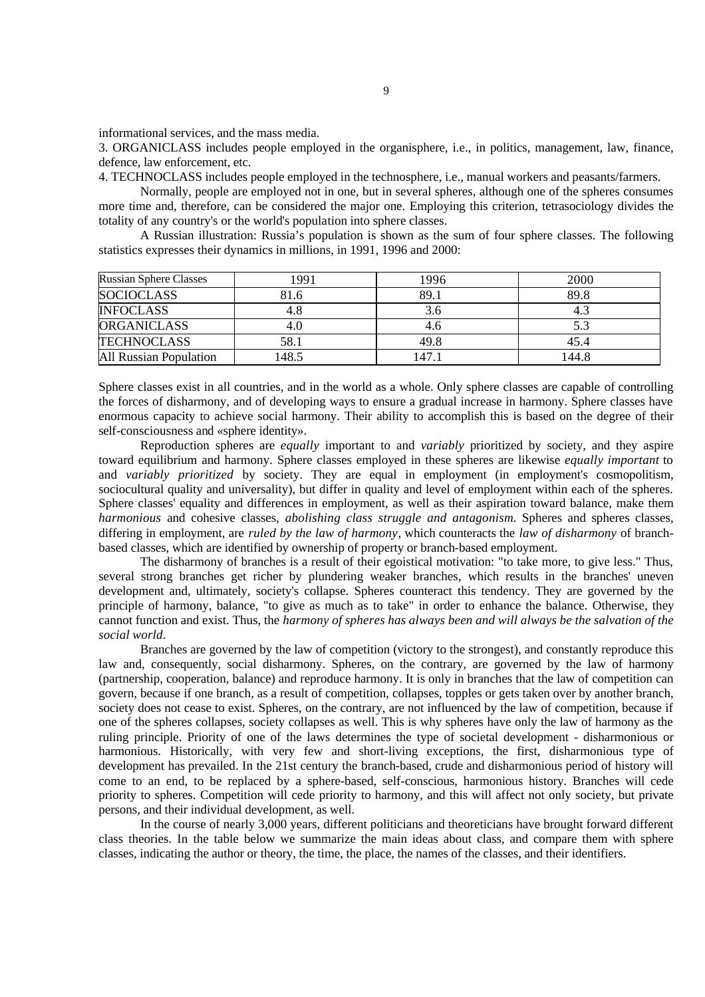informational services, and the mass media.

3. ORGANICLASS includes people employed in the organisphere, i.e., in politics, management, law, finance, defence, law enforcement, etc.

4. TECHNOCLASS includes people employed in the technosphere, i.e., manual workers and peasants/farmers.

Normally, people are employed not in one, but in several spheres, although one of the spheres consumes more time and, therefore, can be considered the major one. Employing this criterion, tetrasociology divides the totality of any country's or the world's population into sphere classes.

A Russian illustration: Russia's population is shown as the sum of four sphere classes. The following statistics expresses their dynamics in millions, in 1991, 1996 and 2000:

| <b>Russian Sphere Classes</b> | 1991  | 1996   | 2000  |
|-------------------------------|-------|--------|-------|
| <b>SOCIOCLASS</b>             | 81.6  | 89.1   | 89.8  |
| <b>INFOCLASS</b>              | 4.8   | 3.6    | 4.3   |
| <b>ORGANICLASS</b>            | 4.0   | 4.6    | 5.3   |
| <b>TECHNOCLASS</b>            | 58.1  | 49.8   | 45.4  |
| <b>All Russian Population</b> | 148.5 | 147. i | 144.8 |

Sphere classes exist in all countries, and in the world as a whole. Only sphere classes are capable of controlling the forces of disharmony, and of developing ways to ensure a gradual increase in harmony. Sphere classes have enormous capacity to achieve social harmony. Their ability to accomplish this is based on the degree of their self-consciousness and «sphere identity».

Reproduction spheres are *equally* important to and *variably* prioritized by society, and they aspire toward equilibrium and harmony. Sphere classes employed in these spheres are likewise *equally important* to and *variably prioritized* by society. They are equal in employment (in employment's cosmopolitism, sociocultural quality and universality), but differ in quality and level of employment within each of the spheres. Sphere classes' equality and differences in employment, as well as their aspiration toward balance, make them *harmonious* and cohesive classes*, abolishing class struggle and antagonism*. Spheres and spheres classes, differing in employment, are *ruled by the law of harmony*, which counteracts the *law of disharmony* of branchbased classes, which are identified by ownership of property or branch-based employment.

The disharmony of branches is a result of their egoistical motivation: "to take more, to give less." Thus, several strong branches get richer by plundering weaker branches, which results in the branches' uneven development and, ultimately, society's collapse. Spheres counteract this tendency. They are governed by the principle of harmony, balance, "to give as much as to take" in order to enhance the balance. Otherwise, they cannot function and exist. Thus, the *harmony of spheres has always been and will always be the salvation of the social world*.

Branches are governed by the law of competition (victory to the strongest), and constantly reproduce this law and, consequently, social disharmony. Spheres, on the contrary, are governed by the law of harmony (partnership, cooperation, balance) and reproduce harmony. It is only in branches that the law of competition can govern, because if one branch, as a result of competition, collapses, topples or gets taken over by another branch, society does not cease to exist. Spheres, on the contrary, are not influenced by the law of competition, because if one of the spheres collapses, society collapses as well. This is why spheres have only the law of harmony as the ruling principle. Priority of one of the laws determines the type of societal development - disharmonious or harmonious. Historically, with very few and short-living exceptions, the first, disharmonious type of development has prevailed. In the 21st century the branch-based, crude and disharmonious period of history will come to an end, to be replaced by a sphere-based, self-conscious, harmonious history. Branches will cede priority to spheres. Competition will cede priority to harmony, and this will affect not only society, but private persons, and their individual development, as well.

In the course of nearly 3,000 years, different politicians and theoreticians have brought forward different class theories. In the table below we summarize the main ideas about class, and compare them with sphere classes, indicating the author or theory, the time, the place, the names of the classes, and their identifiers.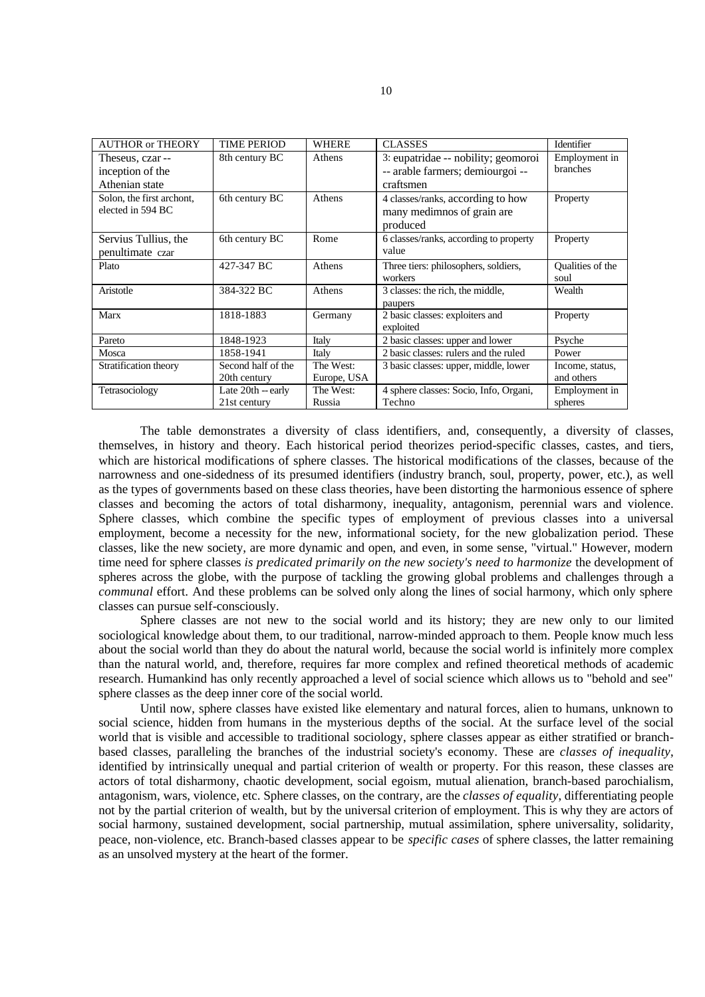| <b>AUTHOR or THEORY</b>   | <b>TIME PERIOD</b>   | <b>WHERE</b> | <b>CLASSES</b>                         | Identifier       |
|---------------------------|----------------------|--------------|----------------------------------------|------------------|
| Theseus, czar --          | 8th century BC       | Athens       | 3: eupatridae -- nobility; geomoroi    | Employment in    |
| inception of the          |                      |              | -- arable farmers; demiourgoi --       | branches         |
| Athenian state            |                      |              | craftsmen                              |                  |
| Solon, the first archont, | 6th century BC       | Athens       | 4 classes/ranks, according to how      | Property         |
| elected in 594 BC         |                      |              | many medimnos of grain are             |                  |
|                           |                      |              | produced                               |                  |
| Servius Tullius, the      | 6th century BC       | Rome         | 6 classes/ranks, according to property | Property         |
| penultimate czar          |                      |              | value                                  |                  |
| Plato                     | 427-347 BC           | Athens       | Three tiers: philosophers, soldiers,   | Qualities of the |
|                           |                      |              | workers                                | soul             |
| Aristotle                 | 384-322 BC           | Athens       | 3 classes: the rich, the middle,       | Wealth           |
|                           |                      |              | paupers                                |                  |
| Marx                      | 1818-1883            | Germany      | 2 basic classes: exploiters and        | Property         |
|                           |                      |              | exploited                              |                  |
| Pareto                    | 1848-1923            | Italy        | 2 basic classes: upper and lower       | Psyche           |
| Mosca                     | 1858-1941            | Italy        | 2 basic classes: rulers and the ruled  | Power            |
| Stratification theory     | Second half of the   | The West:    | 3 basic classes: upper, middle, lower  | Income, status,  |
|                           | 20th century         | Europe, USA  |                                        | and others       |
| Tetrasociology            | Late $20th$ -- early | The West:    | 4 sphere classes: Socio, Info, Organi, | Employment in    |
|                           | 21st century         | Russia       | Techno                                 | spheres          |

The table demonstrates a diversity of class identifiers, and, consequently, a diversity of classes, themselves, in history and theory. Each historical period theorizes period-specific classes, castes, and tiers, which are historical modifications of sphere classes. The historical modifications of the classes, because of the narrowness and one-sidedness of its presumed identifiers (industry branch, soul, property, power, etc.), as well as the types of governments based on these class theories, have been distorting the harmonious essence of sphere classes and becoming the actors of total disharmony, inequality, antagonism, perennial wars and violence. Sphere classes, which combine the specific types of employment of previous classes into a universal employment, become a necessity for the new, informational society, for the new globalization period. These classes, like the new society, are more dynamic and open, and even, in some sense, "virtual." However, modern time need for sphere classes *is predicated primarily on the new society's need to harmonize* the development of spheres across the globe, with the purpose of tackling the growing global problems and challenges through a *communal* effort. And these problems can be solved only along the lines of social harmony, which only sphere classes can pursue self-consciously.

Sphere classes are not new to the social world and its history; they are new only to our limited sociological knowledge about them, to our traditional, narrow-minded approach to them. People know much less about the social world than they do about the natural world, because the social world is infinitely more complex than the natural world, and, therefore, requires far more complex and refined theoretical methods of academic research. Humankind has only recently approached a level of social science which allows us to "behold and see" sphere classes as the deep inner core of the social world.

Until now, sphere classes have existed like elementary and natural forces, alien to humans, unknown to social science, hidden from humans in the mysterious depths of the social. At the surface level of the social world that is visible and accessible to traditional sociology, sphere classes appear as either stratified or branchbased classes, paralleling the branches of the industrial society's economy. These are *classes of inequality*, identified by intrinsically unequal and partial criterion of wealth or property. For this reason, these classes are actors of total disharmony, chaotic development, social egoism, mutual alienation, branch-based parochialism, antagonism, wars, violence, etc. Sphere classes, on the contrary, are the *classes of equality*, differentiating people not by the partial criterion of wealth, but by the universal criterion of employment. This is why they are actors of social harmony, sustained development, social partnership, mutual assimilation, sphere universality, solidarity, peace, non-violence, etc. Branch-based classes appear to be *specific cases* of sphere classes, the latter remaining as an unsolved mystery at the heart of the former.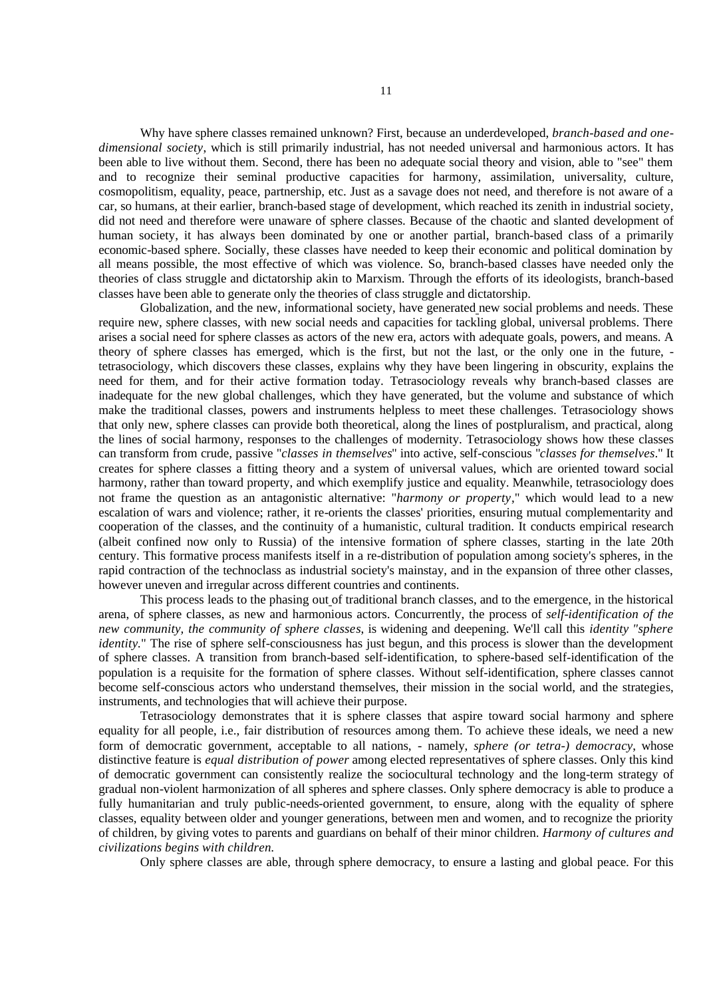Why have sphere classes remained unknown? First, because an underdeveloped, *branch-based and onedimensional society*, which is still primarily industrial, has not needed universal and harmonious actors. It has been able to live without them. Second, there has been no adequate social theory and vision, able to "see" them and to recognize their seminal productive capacities for harmony, assimilation, universality, culture, cosmopolitism, equality, peace, partnership, etc. Just as a savage does not need, and therefore is not aware of a car, so humans, at their earlier, branch-based stage of development, which reached its zenith in industrial society, did not need and therefore were unaware of sphere classes. Because of the chaotic and slanted development of human society, it has always been dominated by one or another partial, branch-based class of a primarily economic-based sphere. Socially, these classes have needed to keep their economic and political domination by all means possible, the most effective of which was violence. So, branch-based classes have needed only the theories of class struggle and dictatorship akin to Marxism. Through the efforts of its ideologists, branch-based classes have been able to generate only the theories of class struggle and dictatorship.

Globalization, and the new, informational society, have generated new social problems and needs. These require new, sphere classes, with new social needs and capacities for tackling global, universal problems. There arises a social need for sphere classes as actors of the new era, actors with adequate goals, powers, and means. A theory of sphere classes has emerged, which is the first, but not the last, or the only one in the future, tetrasociology, which discovers these classes, explains why they have been lingering in obscurity, explains the need for them, and for their active formation today. Tetrasociology reveals why branch-based classes are inadequate for the new global challenges, which they have generated, but the volume and substance of which make the traditional classes, powers and instruments helpless to meet these challenges. Tetrasociology shows that only new, sphere classes can provide both theoretical, along the lines of postpluralism, and practical, along the lines of social harmony, responses to the challenges of modernity. Tetrasociology shows how these classes can transform from crude, passive "*classes in themselves*" into active, self-conscious "*classes for themselves*." It creates for sphere classes a fitting theory and a system of universal values, which are oriented toward social harmony, rather than toward property, and which exemplify justice and equality. Meanwhile, tetrasociology does not frame the question as an antagonistic alternative: "*harmony or property*," which would lead to a new escalation of wars and violence; rather, it re-orients the classes' priorities, ensuring mutual complementarity and cooperation of the classes, and the continuity of a humanistic, cultural tradition. It conducts empirical research (albeit confined now only to Russia) of the intensive formation of sphere classes, starting in the late 20th century. This formative process manifests itself in a re-distribution of population among society's spheres, in the rapid contraction of the technoclass as industrial society's mainstay, and in the expansion of three other classes, however uneven and irregular across different countries and continents.

This process leads to the phasing out of traditional branch classes, and to the emergence, in the historical arena, of sphere classes, as new and harmonious actors. Concurrently, the process of *self-identification of the new community, the community of sphere classes*, is widening and deepening. We'll call this *identity "sphere identity*." The rise of sphere self-consciousness has just begun, and this process is slower than the development of sphere classes. A transition from branch-based self-identification, to sphere-based self-identification of the population is a requisite for the formation of sphere classes. Without self-identification, sphere classes cannot become self-conscious actors who understand themselves, their mission in the social world, and the strategies, instruments, and technologies that will achieve their purpose.

Tetrasociology demonstrates that it is sphere classes that aspire toward social harmony and sphere equality for all people, i.e., fair distribution of resources among them. To achieve these ideals, we need a new form of democratic government, acceptable to all nations, - namely, *sphere (or tetra-) democracy*, whose distinctive feature is *equal distribution of power* among elected representatives of sphere classes. Only this kind of democratic government can consistently realize the sociocultural technology and the long-term strategy of gradual non-violent harmonization of all spheres and sphere classes. Only sphere democracy is able to produce a fully humanitarian and truly public-needs-oriented government, to ensure, along with the equality of sphere classes, equality between older and younger generations, between men and women, and to recognize the priority of children, by giving votes to parents and guardians on behalf of their minor children. *Harmony of cultures and civilizations begins with children*.

Only sphere classes are able, through sphere democracy, to ensure a lasting and global peace. For this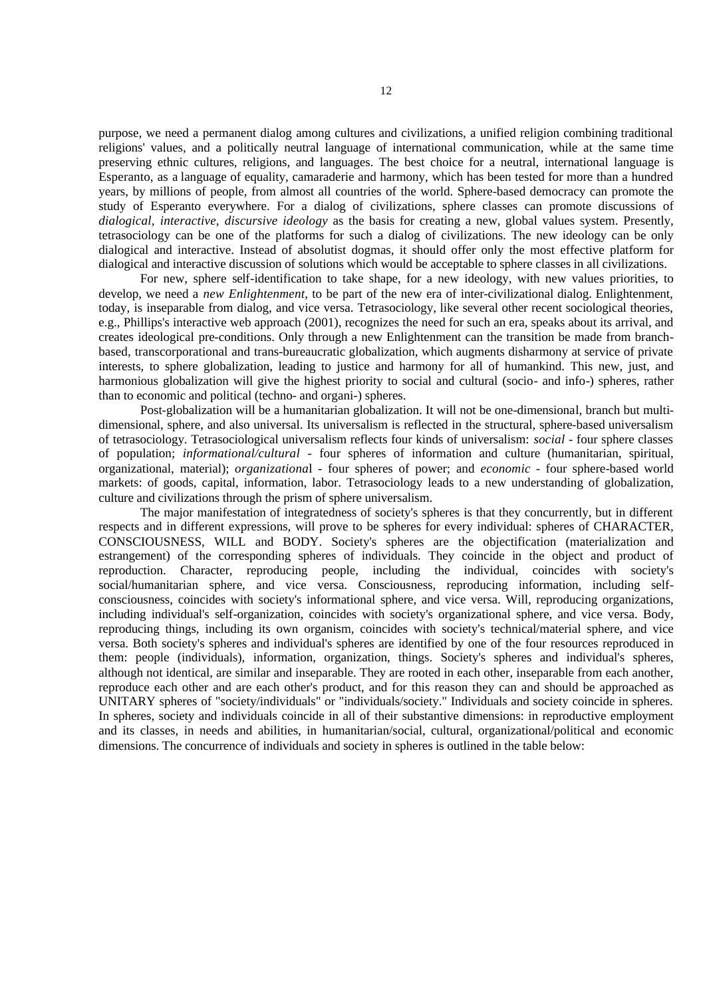purpose, we need a permanent dialog among cultures and civilizations, a unified religion combining traditional religions' values, and a politically neutral language of international communication, while at the same time preserving ethnic cultures, religions, and languages. The best choice for a neutral, international language is Esperanto, as a language of equality, camaraderie and harmony, which has been tested for more than a hundred years, by millions of people, from almost all countries of the world. Sphere-based democracy can promote the study of Esperanto everywhere. For a dialog of civilizations, sphere classes can promote discussions of *dialogical, interactive, discursive ideology* as the basis for creating a new, global values system. Presently, tetrasociology can be one of the platforms for such a dialog of civilizations. The new ideology can be only dialogical and interactive. Instead of absolutist dogmas, it should offer only the most effective platform for dialogical and interactive discussion of solutions which would be acceptable to sphere classes in all civilizations.

For new, sphere self-identification to take shape, for a new ideology, with new values priorities, to develop, we need a *new Enlightenment*, to be part of the new era of inter-civilizational dialog. Enlightenment, today, is inseparable from dialog, and vice versa. Tetrasociology, like several other recent sociological theories, e.g., Phillips's interactive web approach (2001), recognizes the need for such an era, speaks about its arrival, and creates ideological pre-conditions. Only through a new Enlightenment can the transition be made from branchbased, transcorporational and trans-bureaucratic globalization, which augments disharmony at service of private interests, to sphere globalization, leading to justice and harmony for all of humankind. This new, just, and harmonious globalization will give the highest priority to social and cultural (socio- and info-) spheres, rather than to economic and political (techno- and organi-) spheres.

Post-globalization will be a humanitarian globalization. It will not be one-dimensional, branch but multidimensional, sphere, and also universal. Its universalism is reflected in the structural, sphere-based universalism of tetrasociology. Tetrasociological universalism reflects four kinds of universalism: *social* - four sphere classes of population; *informational/cultural* - four spheres of information and culture (humanitarian, spiritual, organizational, material); *organizationa*l - four spheres of power; and *economic* - four sphere-based world markets: of goods, capital, information, labor. Tetrasociology leads to a new understanding of globalization, culture and civilizations through the prism of sphere universalism.

The major manifestation of integratedness of society's spheres is that they concurrently, but in different respects and in different expressions, will prove to be spheres for every individual: spheres of CHARACTER, CONSCIOUSNESS, WILL and BODY. Society's spheres are the objectification (materialization and estrangement) of the corresponding spheres of individuals. They coincide in the object and product of reproduction. Character, reproducing people, including the individual, coincides with society's social/humanitarian sphere, and vice versa. Consciousness, reproducing information, including selfconsciousness, coincides with society's informational sphere, and vice versa. Will, reproducing organizations, including individual's self-organization, coincides with society's organizational sphere, and vice versa. Body, reproducing things, including its own organism, coincides with society's technical/material sphere, and vice versa. Both society's spheres and individual's spheres are identified by one of the four resources reproduced in them: people (individuals), information, organization, things. Society's spheres and individual's spheres, although not identical, are similar and inseparable. They are rooted in each other, inseparable from each another, reproduce each other and are each other's product, and for this reason they can and should be approached as UNITARY spheres of "society/individuals" or "individuals/society." Individuals and society coincide in spheres. In spheres, society and individuals coincide in all of their substantive dimensions: in reproductive employment and its classes, in needs and abilities, in humanitarian/social, cultural, organizational/political and economic dimensions. The concurrence of individuals and society in spheres is outlined in the table below: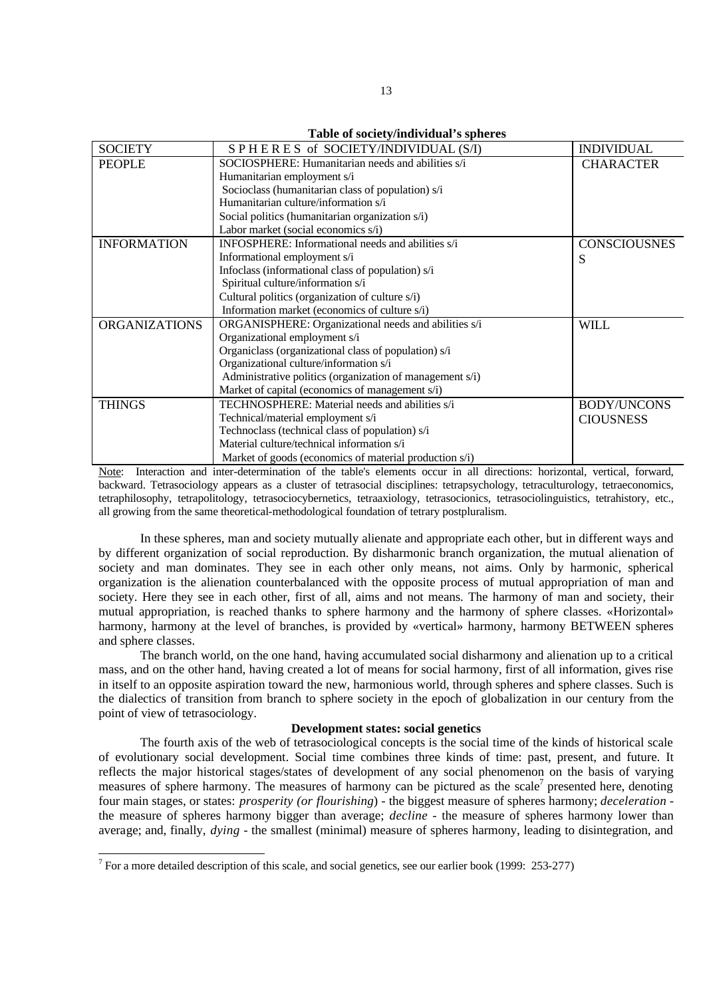**Table of society/individual's spheres**

| <b>SOCIETY</b>       | SPHERES of SOCIETY/INDIVIDUAL (S/I)                      | <b>INDIVIDUAL</b>   |
|----------------------|----------------------------------------------------------|---------------------|
|                      |                                                          |                     |
| <b>PEOPLE</b>        | SOCIOSPHERE: Humanitarian needs and abilities s/i        | <b>CHARACTER</b>    |
|                      | Humanitarian employment s/i                              |                     |
|                      | Socioclass (humanitarian class of population) s/i        |                     |
|                      | Humanitarian culture/information s/i                     |                     |
|                      | Social politics (humanitarian organization s/i)          |                     |
|                      | Labor market (social economics s/i)                      |                     |
| <b>INFORMATION</b>   | <b>INFOSPHERE:</b> Informational needs and abilities s/i | <b>CONSCIOUSNES</b> |
|                      | Informational employment s/i                             | S                   |
|                      | Infoclass (informational class of population) s/i        |                     |
|                      | Spiritual culture/information s/i                        |                     |
|                      | Cultural politics (organization of culture s/i)          |                     |
|                      | Information market (economics of culture s/i)            |                     |
| <b>ORGANIZATIONS</b> | ORGANISPHERE: Organizational needs and abilities s/i     | WILL                |
|                      | Organizational employment s/i                            |                     |
|                      | Organiclass (organizational class of population) s/i     |                     |
|                      | Organizational culture/information s/i                   |                     |
|                      | Administrative politics (organization of management s/i) |                     |
|                      | Market of capital (economics of management s/i)          |                     |
| <b>THINGS</b>        | TECHNOSPHERE: Material needs and abilities s/i           | <b>BODY/UNCONS</b>  |
|                      | Technical/material employment s/i                        | <b>CIOUSNESS</b>    |
|                      | Technoclass (technical class of population) s/i          |                     |
|                      | Material culture/technical information s/i               |                     |
|                      | Market of goods (economics of material production s/i)   |                     |

Note: Interaction and inter-determination of the table's elements occur in all directions: horizontal, vertical, forward, backward. Tetrasociology appears as a cluster of tetrasocial disciplines: tetrapsychology, tetraculturology, tetraeconomics, tetraphilosophy, tetrapolitology, tetrasociocybernetics, tetraaxiology, tetrasocionics, tetrasociolinguistics, tetrahistory, etc., all growing from the same theoretical-methodological foundation of tetrary postpluralism.

In these spheres, man and society mutually alienate and appropriate each other, but in different ways and by different organization of social reproduction. By disharmonic branch organization, the mutual alienation of society and man dominates. They see in each other only means, not aims. Only by harmonic, spherical organization is the alienation counterbalanced with the opposite process of mutual appropriation of man and society. Here they see in each other, first of all, aims and not means. The harmony of man and society, their mutual appropriation, is reached thanks to sphere harmony and the harmony of sphere classes. «Horizontal» harmony, harmony at the level of branches, is provided by «vertical» harmony, harmony BETWEEN spheres and sphere classes.

The branch world, on the one hand, having accumulated social disharmony and alienation up to a critical mass, and on the other hand, having created a lot of means for social harmony, first of all information, gives rise in itself to an opposite aspiration toward the new, harmonious world, through spheres and sphere classes. Such is the dialectics of transition from branch to sphere society in the epoch of globalization in our century from the point of view of tetrasociology.

### **Development states: social genetics**

The fourth axis of the web of tetrasociological concepts is the social time of the kinds of historical scale of evolutionary social development. Social time combines three kinds of time: past, present, and future. It reflects the major historical stages/states of development of any social phenomenon on the basis of varying measures of sphere harmony. The measures of harmony can be pictured as the scale<sup>7</sup> presented here, denoting four main stages, or states: *prosperity (or flourishing*) - the biggest measure of spheres harmony; *deceleration* the measure of spheres harmony bigger than average; *decline* - the measure of spheres harmony lower than average; and, finally, *dying* - the smallest (minimal) measure of spheres harmony, leading to disintegration, and

<sup>&</sup>lt;sup>7</sup> For a more detailed description of this scale, and social genetics, see our earlier book (1999: 253-277)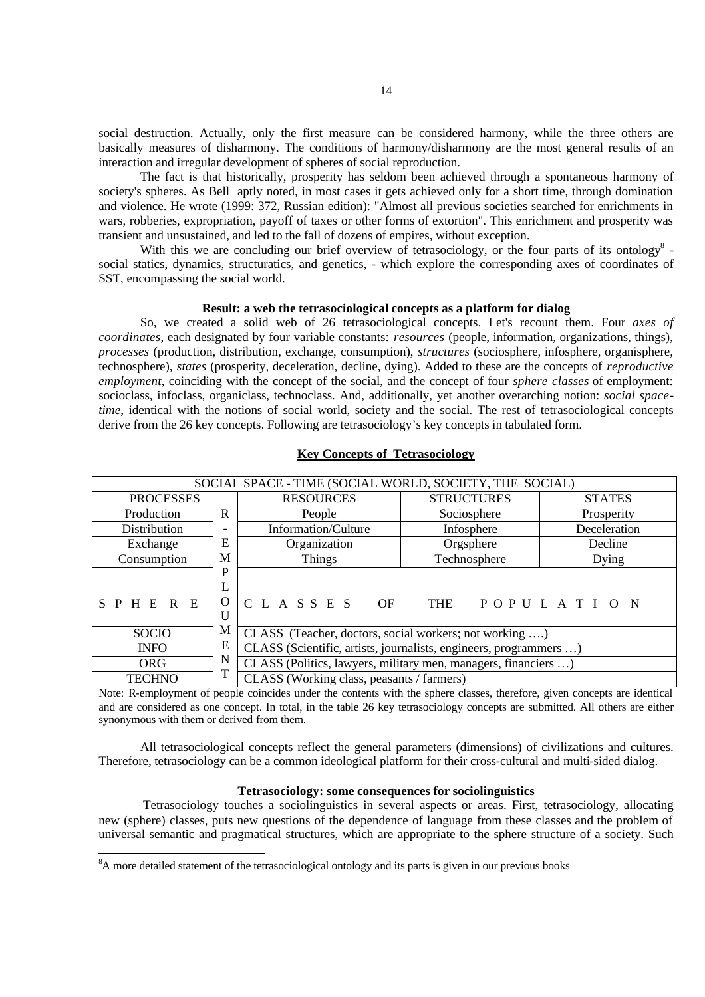social destruction. Actually, only the first measure can be considered harmony, while the three others are basically measures of disharmony. The conditions of harmony/disharmony are the most general results of an interaction and irregular development of spheres of social reproduction.

The fact is that historically, prosperity has seldom been achieved through a spontaneous harmony of society's spheres. As Bell aptly noted, in most cases it gets achieved only for a short time, through domination and violence. He wrote (1999: 372, Russian edition): "Almost all previous societies searched for enrichments in wars, robberies, expropriation, payoff of taxes or other forms of extortion". This enrichment and prosperity was transient and unsustained, and led to the fall of dozens of empires, without exception.

With this we are concluding our brief overview of tetrasociology, or the four parts of its ontology  $8$ social statics, dynamics, structuratics, and genetics, - which explore the corresponding axes of coordinates of SST, encompassing the social world.

#### **Result: a web the tetrasociological concepts as a platform for dialog**

So, we created a solid web of 26 tetrasociological concepts. Let's recount them. Four *axes of coordinates*, each designated by four variable constants: *resources* (people, information, organizations, things), *processes* (production, distribution, exchange, consumption), *structures* (sociosphere, infosphere, organisphere, technosphere), *states* (prosperity, deceleration, decline, dying). Added to these are the concepts of *reproductive employment*, coinciding with the concept of the social, and the concept of four *sphere classes* of employment: socioclass, infoclass, organiclass, technoclass. And, additionally, yet another overarching notion: *social spacetime*, identical with the notions of social world, society and the social. The rest of tetrasociological concepts derive from the 26 key concepts. Following are tetrasociology's key concepts in tabulated form.

| SOCIAL SPACE - TIME (SOCIAL WORLD, SOCIETY, THE SOCIAL) |                          |                                                                   |                   |               |  |
|---------------------------------------------------------|--------------------------|-------------------------------------------------------------------|-------------------|---------------|--|
| <b>PROCESSES</b>                                        |                          | <b>RESOURCES</b>                                                  | <b>STRUCTURES</b> | <b>STATES</b> |  |
| Production                                              | R                        | People                                                            | Sociosphere       | Prosperity    |  |
| Distribution                                            | $\overline{\phantom{a}}$ | Information/Culture<br>Infosphere                                 |                   | Deceleration  |  |
| Exchange                                                | Ε                        | Organization                                                      | Orgsphere         | Decline       |  |
| Consumption                                             | M                        | Things                                                            | Technosphere      | Dying         |  |
|                                                         | P                        |                                                                   |                   |               |  |
|                                                         | L                        |                                                                   |                   |               |  |
| SPHERE                                                  | O                        | C L A S S E S<br><b>OF</b>                                        | THE POPULATION    |               |  |
|                                                         | U                        |                                                                   |                   |               |  |
| <b>SOCIO</b>                                            | М                        | CLASS (Teacher, doctors, social workers; not working )            |                   |               |  |
| <b>INFO</b>                                             | Ε                        | CLASS (Scientific, artists, journalists, engineers, programmers ) |                   |               |  |
| <b>ORG</b>                                              | N<br>m                   | CLASS (Politics, lawyers, military men, managers, financiers )    |                   |               |  |
| <b>TECHNO</b>                                           |                          | CLASS (Working class, peasants / farmers)                         |                   |               |  |

# **Key Concepts of Tetrasociology**

Note: R-employment of people coincides under the contents with the sphere classes, therefore, given concepts are identical and are considered as one concept. In total, in the table 26 key tetrasociology concepts are submitted. All others are either synonymous with them or derived from them.

All tetrasociological concepts reflect the general parameters (dimensions) of civilizations and cultures. Therefore, tetrasociology can be a common ideological platform for their cross-cultural and multi-sided dialog.

## **Tetrasociology: some consequences for sociolinguistics**

 Tetrasociology touches a sociolinguistics in several aspects or areas. First, tetrasociology, allocating new (sphere) classes, puts new questions of the dependence of language from these classes and the problem of universal semantic and pragmatical structures, which are appropriate to the sphere structure of a society. Such

<sup>&</sup>lt;sup>8</sup>A more detailed statement of the tetrasociological ontology and its parts is given in our previous books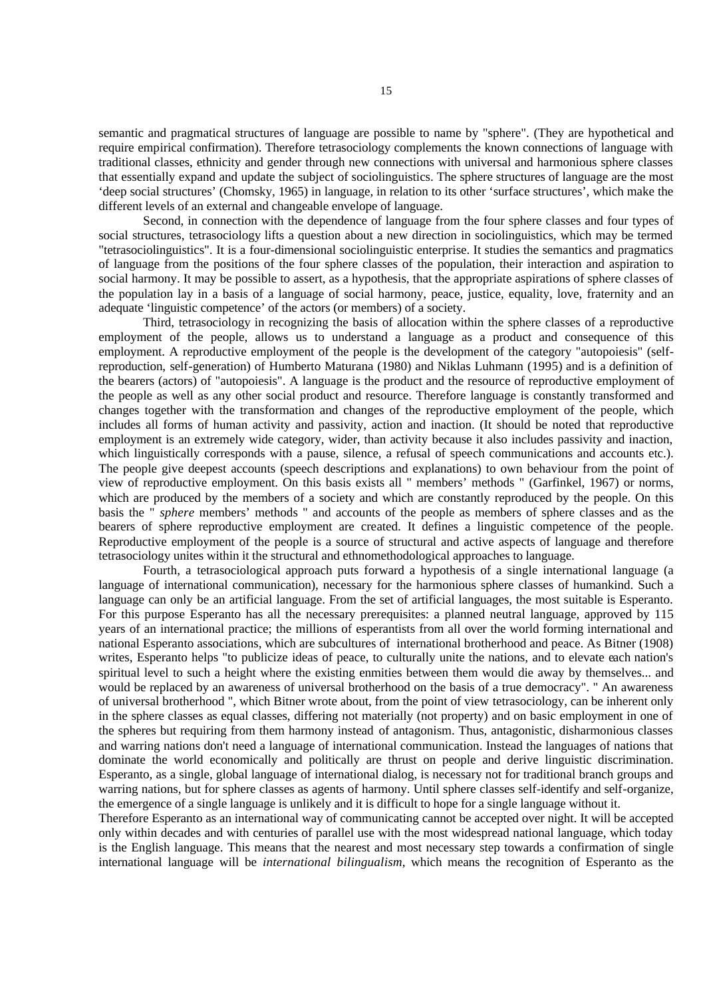semantic and pragmatical structures of language are possible to name by "sphere". (They are hypothetical and require empirical confirmation). Therefore tetrasociology complements the known connections of language with traditional classes, ethnicity and gender through new connections with universal and harmonious sphere classes that essentially expand and update the subject of sociolinguistics. The sphere structures of language are the most 'deep social structures' (Chomsky, 1965) in language, in relation to its other 'surface structures', which make the different levels of an external and changeable envelope of language.

 Second, in connection with the dependence of language from the four sphere classes and four types of social structures, tetrasociology lifts a question about a new direction in sociolinguistics, which may be termed "tetrasociolinguistics". It is a four-dimensional sociolinguistic enterprise. It studies the semantics and pragmatics of language from the positions of the four sphere classes of the population, their interaction and aspiration to social harmony. It may be possible to assert, as a hypothesis, that the appropriate aspirations of sphere classes of the population lay in a basis of a language of social harmony, peace, justice, equality, love, fraternity and an adequate 'linguistic competence' of the actors (or members) of a society.

 Third, tetrasociology in recognizing the basis of allocation within the sphere classes of a reproductive employment of the people, allows us to understand a language as a product and consequence of this employment. A reproductive employment of the people is the development of the category "autopoiesis" (selfreproduction, self-generation) of Humberto Maturana (1980) and Niklas Luhmann (1995) and is a definition of the bearers (actors) of "autopoiesis". A language is the product and the resource of reproductive employment of the people as well as any other social product and resource. Therefore language is constantly transformed and changes together with the transformation and changes of the reproductive employment of the people, which includes all forms of human activity and passivity, action and inaction. (It should be noted that reproductive employment is an extremely wide category, wider, than activity because it also includes passivity and inaction, which linguistically corresponds with a pause, silence, a refusal of speech communications and accounts etc.). The people give deepest accounts (speech descriptions and explanations) to own behaviour from the point of view of reproductive employment. On this basis exists all " members' methods " (Garfinkel, 1967) or norms, which are produced by the members of a society and which are constantly reproduced by the people. On this basis the " *sphere* members' methods " and accounts of the people as members of sphere classes and as the bearers of sphere reproductive employment are created. It defines a linguistic competence of the people. Reproductive employment of the people is a source of structural and active aspects of language and therefore tetrasociology unites within it the structural and ethnomethodological approaches to language.

 Fourth, a tetrasociological approach puts forward a hypothesis of a single international language (a language of international communication), necessary for the harmonious sphere classes of humankind. Such a language can only be an artificial language. From the set of artificial languages, the most suitable is Esperanto. For this purpose Esperanto has all the necessary prerequisites: a planned neutral language, approved by 115 years of an international practice; the millions of esperantists from all over the world forming international and national Esperanto associations, which are subcultures of international brotherhood and peace. As Bitner (1908) writes, Esperanto helps "to publicize ideas of peace, to culturally unite the nations, and to elevate each nation's spiritual level to such a height where the existing enmities between them would die away by themselves... and would be replaced by an awareness of universal brotherhood on the basis of a true democracy". " An awareness of universal brotherhood ", which Bitner wrote about, from the point of view tetrasociology, can be inherent only in the sphere classes as equal classes, differing not materially (not property) and on basic employment in one of the spheres but requiring from them harmony instead of antagonism. Thus, antagonistic, disharmonious classes and warring nations don't need a language of international communication. Instead the languages of nations that dominate the world economically and politically are thrust on people and derive linguistic discrimination. Esperanto, as a single, global language of international dialog, is necessary not for traditional branch groups and warring nations, but for sphere classes as agents of harmony. Until sphere classes self-identify and self-organize, the emergence of a single language is unlikely and it is difficult to hope for a single language without it.

Therefore Esperanto as an international way of communicating cannot be accepted over night. It will be accepted only within decades and with centuries of parallel use with the most widespread national language, which today is the English language. This means that the nearest and most necessary step towards a confirmation of single international language will be *international bilingualism*, which means the recognition of Esperanto as the